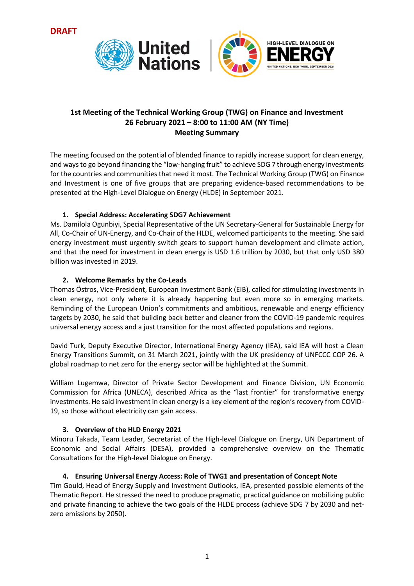



## **1st Meeting of the Technical Working Group (TWG) on Finance and Investment 26 February 2021 – 8:00 to 11:00 AM (NY Time) Meeting Summary**

The meeting focused on the potential of blended finance to rapidly increase support for clean energy, and waysto go beyond financing the "low-hanging fruit" to achieve SDG 7 through energy investments for the countries and communities that need it most. The Technical Working Group (TWG) on Finance and Investment is one of five groups that are preparing evidence-based recommendations to be presented at the High-Level Dialogue on Energy (HLDE) in September 2021.

#### **1. Special Address: Accelerating SDG7 Achievement**

Ms. Damilola Ogunbiyi, Special Representative of the UN Secretary-General for Sustainable Energy for All, Co-Chair of UN-Energy, and Co-Chair of the HLDE, welcomed participants to the meeting. She said energy investment must urgently switch gears to support human development and climate action, and that the need for investment in clean energy is USD 1.6 trillion by 2030, but that only USD 380 billion was invested in 2019.

#### **2. Welcome Remarks by the Co-Leads**

Thomas Östros, Vice-President, European Investment Bank (EIB), called for stimulating investments in clean energy, not only where it is already happening but even more so in emerging markets. Reminding of the European Union's commitments and ambitious, renewable and energy efficiency targets by 2030, he said that building back better and cleaner from the COVID-19 pandemic requires universal energy access and a just transition for the most affected populations and regions.

David Turk, Deputy Executive Director, International Energy Agency (IEA), said IEA will host a Clean Energy Transitions Summit, on 31 March 2021, jointly with the UK presidency of UNFCCC COP 26. A global roadmap to net zero for the energy sector will be highlighted at the Summit.

William Lugemwa, Director of Private Sector Development and Finance Division, UN Economic Commission for Africa (UNECA), described Africa as the "last frontier" for transformative energy investments. He said investment in clean energy is a key element of the region's recovery from COVID-19, so those without electricity can gain access.

#### **3. Overview of the HLD Energy 2021**

Minoru Takada, Team Leader, Secretariat of the High-level Dialogue on Energy, UN Department of Economic and Social Affairs (DESA), provided a comprehensive overview on the Thematic Consultations for the High-level Dialogue on Energy.

#### **4. Ensuring Universal Energy Access: Role of TWG1 and presentation of Concept Note**

Tim Gould, Head of Energy Supply and Investment Outlooks, IEA, presented possible elements of the Thematic Report. He stressed the need to produce pragmatic, practical guidance on mobilizing public and private financing to achieve the two goals of the HLDE process (achieve SDG 7 by 2030 and netzero emissions by 2050).